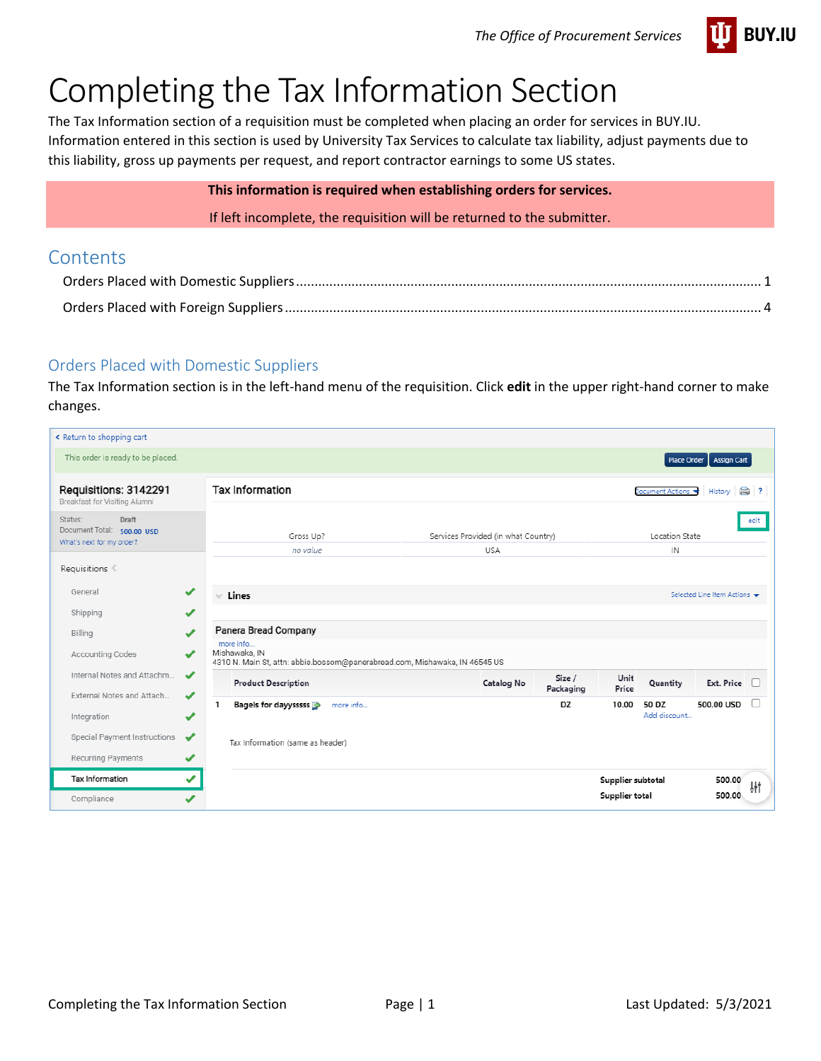

# Completing the Tax Information Section

The Tax Information section of a requisition must be completed when placing an order for services in BUY.IU. Information entered in this section is used by University Tax Services to calculate tax liability, adjust payments due to this liability, gross up payments per request, and report contractor earnings to some US states.

## **This information is required when establishing orders for services.**

If left incomplete, the requisition will be returned to the submitter.

## **Contents**

## <span id="page-0-0"></span>Orders Placed with Domestic Suppliers

The Tax Information section is in the left-hand menu of the requisition. Click **edit** in the upper right-hand corner to make changes.

| « Return to shopping cart                                                   |                               |                                                                                                           |                                                   |                     |                   |                       |                            |        |
|-----------------------------------------------------------------------------|-------------------------------|-----------------------------------------------------------------------------------------------------------|---------------------------------------------------|---------------------|-------------------|-----------------------|----------------------------|--------|
| This order is ready to be placed.                                           |                               |                                                                                                           |                                                   |                     |                   |                       | Place Order   Assign Cart  |        |
| Requisitions: 3142291<br>Breakfast for Visiting Alumni                      |                               | <b>Tax Information</b>                                                                                    |                                                   |                     |                   | Document Actions      | History                    | a)     |
| Draft<br>Status:<br>Document Total: 500.00 USD<br>What's next for my order? |                               | Gross Up?<br>no value                                                                                     | Services Provided (in what Country)<br><b>USA</b> |                     |                   | Location State<br>IN  |                            | edit   |
| Requisitions                                                                |                               |                                                                                                           |                                                   |                     |                   |                       |                            |        |
| General                                                                     | $\checkmark$                  | $\times$ Lines                                                                                            |                                                   |                     |                   |                       | Selected Line Item Actions |        |
| Shipping                                                                    | ✔                             |                                                                                                           |                                                   |                     |                   |                       |                            |        |
| Billing                                                                     | ✔                             | Panera Bread Company                                                                                      |                                                   |                     |                   |                       |                            |        |
| <b>Accounting Codes</b>                                                     | ✔                             | more info<br>Mishawaka, IN<br>4310 N. Main St, attn: abbie.bossom@panerabread.com, Mishawaka, IN 46545 US |                                                   |                     |                   |                       |                            |        |
| Internal Notes and Attachm<br>External Notes and Attach                     | $\boldsymbol{\mathcal{L}}$    | <b>Product Description</b>                                                                                | Catalog No                                        | Size /<br>Packaging | Unit<br>Price     | Quantity              | Ext. Price                 | $\Box$ |
| Integration                                                                 | $\overline{\mathcal{L}}$<br>✔ | Bagels for dayysssss<br>1<br>more info                                                                    |                                                   | DZ                  | 10.00             | 50 DZ<br>Add discount | 500.00 USD                 |        |
| Special Payment Instructions                                                | ✔                             | Tax Information (same as header)                                                                          |                                                   |                     |                   |                       |                            |        |
| Recurring Payments                                                          | ✔                             |                                                                                                           |                                                   |                     |                   |                       |                            |        |
| Tax Information                                                             | ✔                             |                                                                                                           |                                                   |                     | Supplier subtotal |                       | 500.00                     | 耕      |
| Compliance                                                                  | $\overline{\mathcal{L}}$      |                                                                                                           |                                                   |                     | Supplier total    |                       | 500.00                     |        |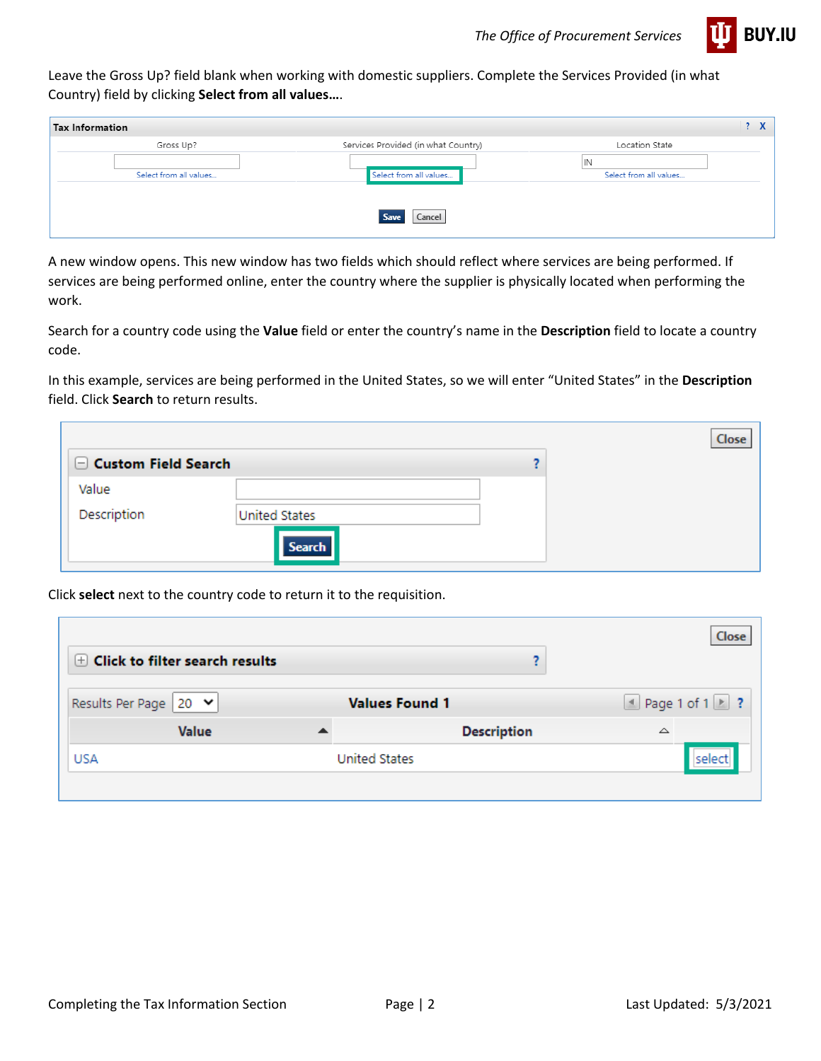

Leave the Gross Up? field blank when working with domestic suppliers. Complete the Services Provided (in what Country) field by clicking **Select from all values…**.

| Tax Information        |                                     | 2 X                    |
|------------------------|-------------------------------------|------------------------|
| Gross Up?              | Services Provided (in what Country) | Location State         |
|                        |                                     | IN                     |
| Select from all values | Select from all values              | Select from all values |
|                        |                                     |                        |
|                        | Cancel<br>$S_{216}$                 |                        |

A new window opens. This new window has two fields which should reflect where services are being performed. If services are being performed online, enter the country where the supplier is physically located when performing the work.

Search for a country code using the **Value** field or enter the country's name in the **Description** field to locate a country code.

In this example, services are being performed in the United States, so we will enter "United States" in the **Description** field. Click **Search** to return results.

|                     |                      | Close |
|---------------------|----------------------|-------|
| Custom Field Search |                      |       |
| Value               |                      |       |
| Description         | <b>United States</b> |       |
|                     | <b>Search</b>        |       |

Click **select** next to the country code to return it to the requisition.

|                                      |                       | Close                       |
|--------------------------------------|-----------------------|-----------------------------|
| $\pm$ Click to filter search results |                       |                             |
| Results Per Page   20 ♥              | <b>Values Found 1</b> | $\Box$ Page 1 of 1 $\Box$ ? |
| <b>Value</b>                         | <b>Description</b>    | △                           |
| <b>USA</b>                           | <b>United States</b>  | select                      |
|                                      |                       |                             |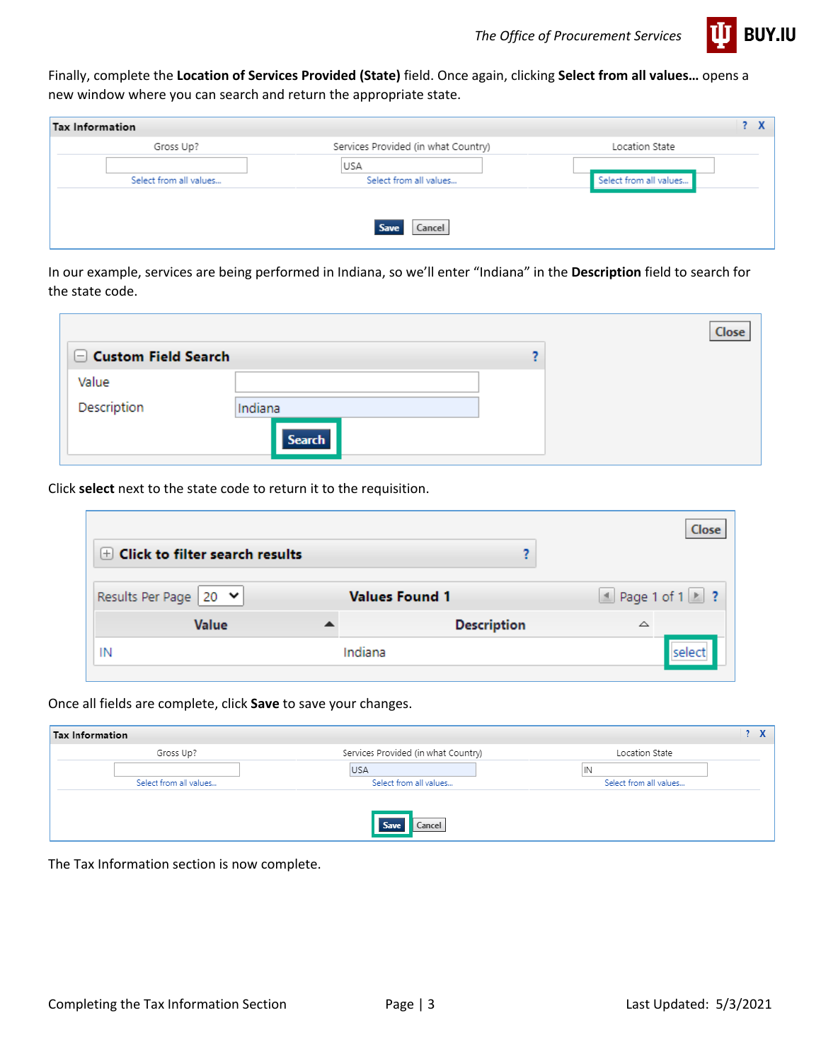

Finally, complete the **Location of Services Provided (State)** field. Once again, clicking **Select from all values…** opens a new window where you can search and return the appropriate state.

| Tax Information        |                                     | 2 X                    |
|------------------------|-------------------------------------|------------------------|
| Gross Up?              | Services Provided (in what Country) | Location State         |
|                        | USA                                 |                        |
| Select from all values | Select from all values              | Select from all values |
|                        |                                     |                        |
|                        | Cancel                              |                        |

In our example, services are being performed in Indiana, so we'll enter "Indiana" in the **Description** field to search for the state code.

|                            |               | Close |
|----------------------------|---------------|-------|
| $\Box$ Custom Field Search |               |       |
| Value                      |               |       |
| Description                | Indiana       |       |
|                            | <b>Search</b> |       |

Click **select** next to the state code to return it to the requisition.

| $\pm$ Click to filter search results        |                       | Close                       |
|---------------------------------------------|-----------------------|-----------------------------|
| Results Per Page   20 $\blacktriangleright$ | <b>Values Found 1</b> | $\Box$ Page 1 of 1 $\Box$ ? |
| <b>Value</b>                                | <b>Description</b>    | △                           |
| IN                                          | Indiana               | Iselect                     |

Once all fields are complete, click **Save** to save your changes.

| <b>Tax Information</b> |                                     |                        |
|------------------------|-------------------------------------|------------------------|
| Gross Up?              | Services Provided (in what Country) | Location State         |
|                        | <b>USA</b>                          | IN                     |
| Select from all values | Select from all values              | Select from all values |
|                        |                                     |                        |
|                        | Cancel                              |                        |
|                        |                                     |                        |

The Tax Information section is now complete.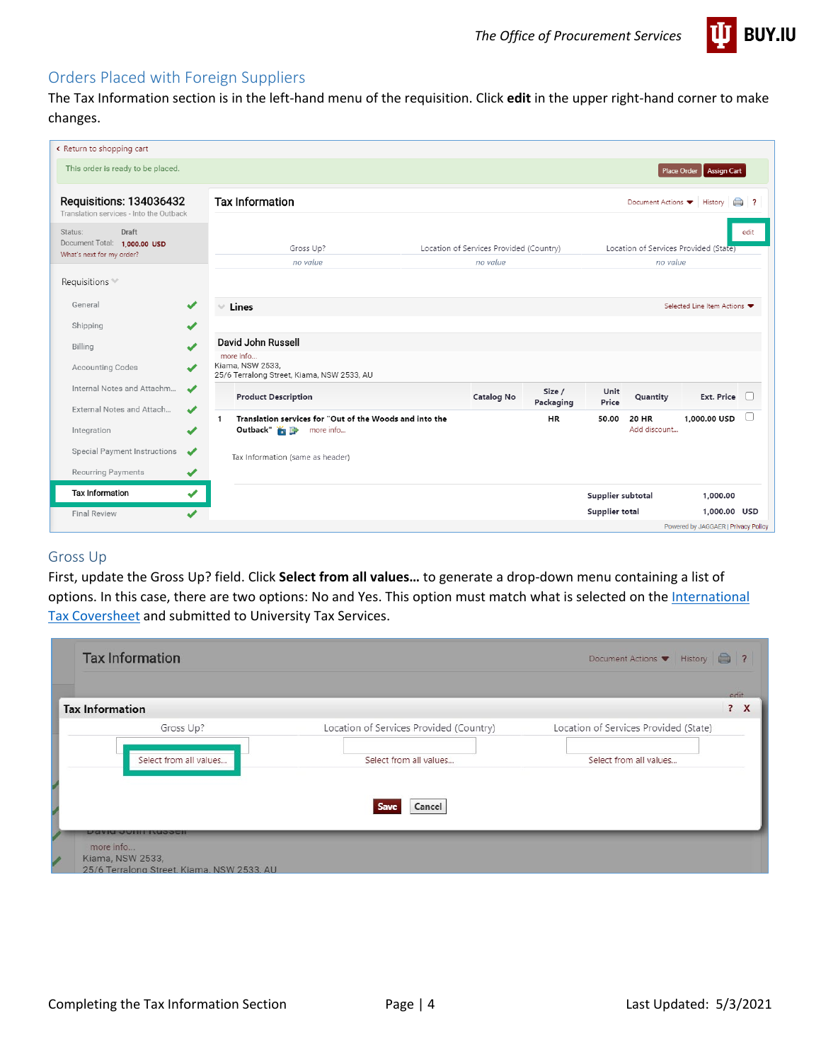

## <span id="page-3-0"></span>Orders Placed with Foreign Suppliers

The Tax Information section is in the left-hand menu of the requisition. Click **edit** in the upper right-hand corner to make changes.

| Return to shopping cart                                                       |                          |                                                                                                |                                                     |                     |                                       |                                                   |                 |
|-------------------------------------------------------------------------------|--------------------------|------------------------------------------------------------------------------------------------|-----------------------------------------------------|---------------------|---------------------------------------|---------------------------------------------------|-----------------|
| This order is ready to be placed.                                             |                          |                                                                                                |                                                     |                     |                                       | Place Order   Assign Cart                         |                 |
| Requisitions: 134036432<br>Translation services - Into the Outback            |                          | <b>Tax Information</b>                                                                         |                                                     |                     |                                       | Document Actions<br>History                       | ⊜<br>$^{\circ}$ |
| Draft<br>Status:<br>Document Total: 1,000.00 USD<br>What's next for my order? |                          | Gross Up?<br>no value                                                                          | Location of Services Provided (Country)<br>no value |                     |                                       | Location of Services Provided (State)<br>no value | edit            |
| Requisitions **                                                               |                          |                                                                                                |                                                     |                     |                                       |                                                   |                 |
| General                                                                       | ✔                        | Lines<br>$\sim$                                                                                |                                                     |                     |                                       | Selected Line Item Actions                        |                 |
| Shipping                                                                      | ✔                        |                                                                                                |                                                     |                     |                                       |                                                   |                 |
| Billing                                                                       |                          | David John Russell                                                                             |                                                     |                     |                                       |                                                   |                 |
| <b>Accounting Codes</b>                                                       |                          | more info<br>Kiama, NSW 2533.<br>25/6 Terralong Street, Kiama, NSW 2533, AU                    |                                                     |                     |                                       |                                                   |                 |
| Internal Notes and Attachm<br>External Notes and Attach                       | ✔                        | <b>Product Description</b>                                                                     | <b>Catalog No</b>                                   | Size /<br>Packaging | Unit<br>Quantity<br>Price             | <b>Ext. Price</b>                                 |                 |
| Integration                                                                   | ✔<br>✔                   | Translation services for "Out of the Woods and into the<br>1<br>Outback" is <b>B</b> more info |                                                     | <b>HR</b>           | <b>20 HR</b><br>50.00<br>Add discount | 1.000.00 USD                                      |                 |
| Special Payment Instructions                                                  | ✔                        | Tax Information (same as header)                                                               |                                                     |                     |                                       |                                                   |                 |
| Recurring Payments                                                            | ✔                        |                                                                                                |                                                     |                     |                                       |                                                   |                 |
| <b>Tax Information</b>                                                        | ✔                        |                                                                                                |                                                     |                     | Supplier subtotal                     | 1,000.00                                          |                 |
| <b>Final Review</b>                                                           | $\overline{\mathcal{L}}$ |                                                                                                |                                                     |                     | <b>Supplier total</b>                 | 1,000.00 USD                                      |                 |
|                                                                               |                          |                                                                                                |                                                     |                     |                                       | Powered by JAGGAER   Privacy Policy               |                 |

#### Gross Up

First, update the Gross Up? field. Click **Select from all values…** to generate a drop-down menu containing a list of options. In this case, there are two options: No and Yes. This option must match what is selected on the International [Tax Coversheet](https://controller.iu.edu/cgi-bin/cfl/dl/202007221921116466821486) and submitted to University Tax Services.

| ? X                                   |
|---------------------------------------|
| Location of Services Provided (State) |
| Select from all values                |
|                                       |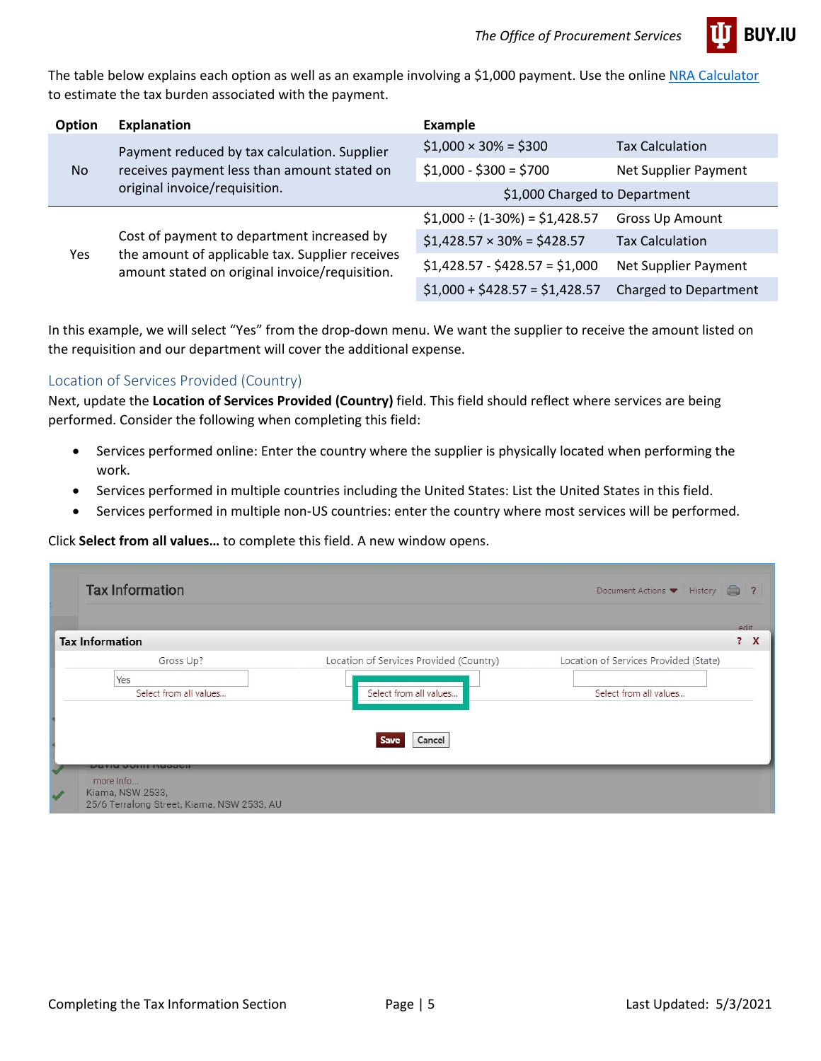

The table below explains each option as well as an example involving a \$1,000 payment. Use the online [NRA Calculator](https://controller.iu.edu/cgi-bin/nra_calc/calc/) to estimate the tax burden associated with the payment.

| <b>Option</b> | <b>Explanation</b>                                                                                                                              | Example                            |                              |
|---------------|-------------------------------------------------------------------------------------------------------------------------------------------------|------------------------------------|------------------------------|
| No.           | Payment reduced by tax calculation. Supplier                                                                                                    | $$1,000 \times 30\% = $300$        | <b>Tax Calculation</b>       |
|               | receives payment less than amount stated on<br>original invoice/requisition.                                                                    | $$1,000 - $300 = $700$             | Net Supplier Payment         |
|               |                                                                                                                                                 | \$1,000 Charged to Department      |                              |
| Yes.          |                                                                                                                                                 | $$1,000 \div (1-30\%) = $1,428.57$ | <b>Gross Up Amount</b>       |
|               | Cost of payment to department increased by<br>the amount of applicable tax. Supplier receives<br>amount stated on original invoice/requisition. | $$1,428.57 \times 30\% = $428.57$  | <b>Tax Calculation</b>       |
|               |                                                                                                                                                 | $$1,428.57 - $428.57 = $1,000$     | Net Supplier Payment         |
|               |                                                                                                                                                 | $$1,000 + $428.57 = $1,428.57$     | <b>Charged to Department</b> |

In this example, we will select "Yes" from the drop-down menu. We want the supplier to receive the amount listed on the requisition and our department will cover the additional expense.

### Location of Services Provided (Country)

Next, update the **Location of Services Provided (Country)** field. This field should reflect where services are being performed. Consider the following when completing this field:

- Services performed online: Enter the country where the supplier is physically located when performing the work.
- Services performed in multiple countries including the United States: List the United States in this field.
- Services performed in multiple non-US countries: enter the country where most services will be performed.

#### Click **Select from all values…** to complete this field. A new window opens.

| <b>Tax Information</b>        |                                         | edit<br>? X                           |
|-------------------------------|-----------------------------------------|---------------------------------------|
| Gross Up?                     | Location of Services Provided (Country) | Location of Services Provided (State) |
| Yes<br>Select from all values | Select from all values                  | Select from all values                |
|                               | Cancel                                  |                                       |